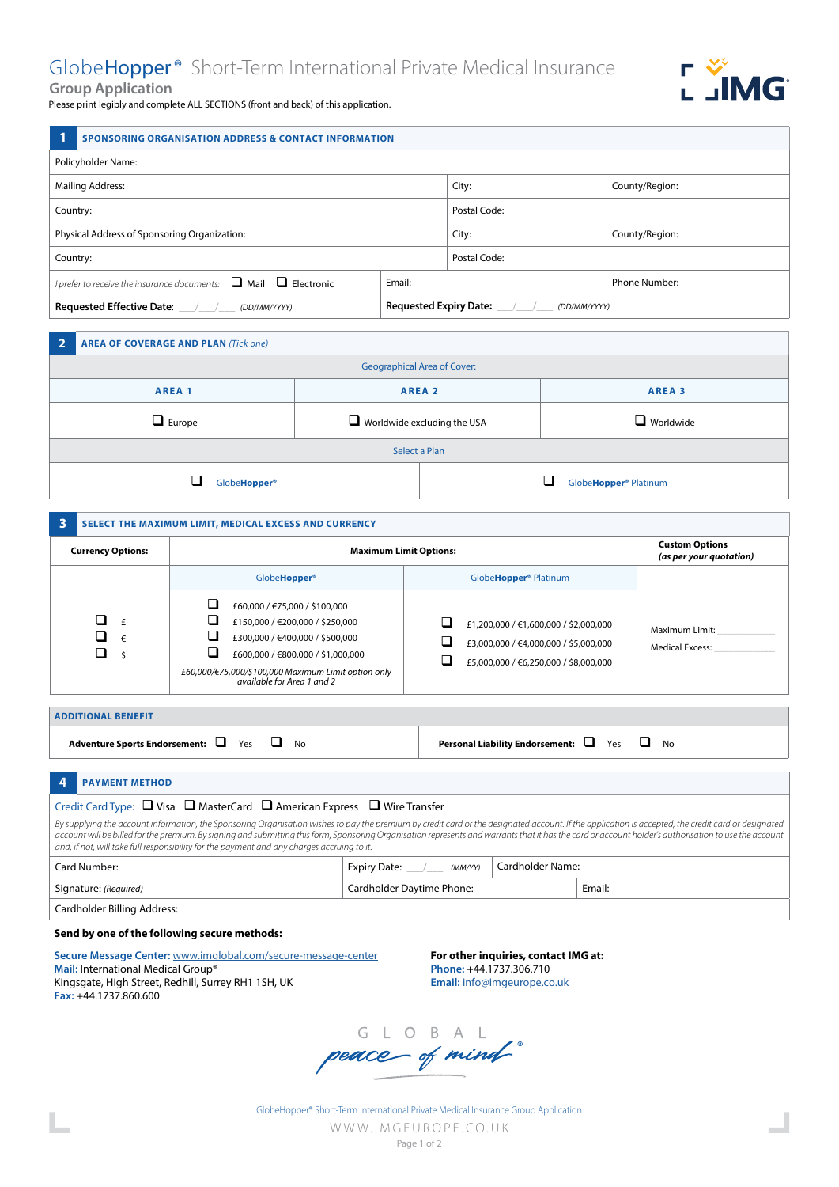# GlobeHopper® Short-Term International Private Medical Insurance



Please print legibly and complete ALL SECTIONS (front and back) of this application.

|                                              | <b>SPONSORING ORGANISATION ADDRESS &amp; CONTACT INFORMATION</b> |              |                |
|----------------------------------------------|------------------------------------------------------------------|--------------|----------------|
| Policyholder Name:                           |                                                                  |              |                |
| <b>Mailing Address:</b>                      |                                                                  | City:        | County/Region: |
| Country:                                     |                                                                  | Postal Code: |                |
| Physical Address of Sponsoring Organization: |                                                                  | City:        | County/Region: |
| Country:                                     |                                                                  | Postal Code: |                |

| I prefer to receive the insurance documents: $\Box$ Mail<br>$\Box$ Electronic | Email:                                        | Phone Number: |
|-------------------------------------------------------------------------------|-----------------------------------------------|---------------|
| <sup>1</sup> Requested Effective Date:<br>(DD/MM/YYYY)                        | <b>Requested Expiry Date:</b><br>(DD/MM/YYYY) |               |

| - 2                                | <b>AREA OF COVERAGE AND PLAN (Tick one)</b> |                                    |                   |                       |
|------------------------------------|---------------------------------------------|------------------------------------|-------------------|-----------------------|
| <b>Geographical Area of Cover:</b> |                                             |                                    |                   |                       |
| AREA <sub>1</sub>                  |                                             |                                    | AREA <sub>2</sub> | AREA <sub>3</sub>     |
|                                    | $\Box$ Europe                               | $\Box$ Worldwide excluding the USA |                   | $\Box$ Worldwide      |
| Select a Plan                      |                                             |                                    |                   |                       |
|                                    | ┙<br>Globe <b>Hopper</b> ®                  |                                    |                   | GlobeHopper® Platinum |

| $\overline{\mathbf{3}}$                    | SELECT THE MAXIMUM LIMIT, MEDICAL EXCESS AND CURRENCY                                                                                                                                                                                        |                                                                                                                         |                                          |  |  |
|--------------------------------------------|----------------------------------------------------------------------------------------------------------------------------------------------------------------------------------------------------------------------------------------------|-------------------------------------------------------------------------------------------------------------------------|------------------------------------------|--|--|
| <b>Currency Options:</b>                   | <b>Maximum Limit Options:</b>                                                                                                                                                                                                                | <b>Custom Options</b><br>(as per your quotation)                                                                        |                                          |  |  |
|                                            | Globe <b>Hopper</b> <sup>®</sup>                                                                                                                                                                                                             | Globe <b>Hopper<sup>®</sup></b> Platinum                                                                                |                                          |  |  |
| n.<br>$\mathbf{f}$<br>ப<br>$\epsilon$<br>⊔ | ┚<br>£60,000 / €75,000 / \$100,000<br>└<br>£150,000 / €200,000 / \$250,000<br>£300,000 / €400,000 / \$500,000<br>└<br>£600,000 / €800,000 / \$1,000,000<br>£60,000/€75,000/\$100,000 Maximum Limit option only<br>available for Area 1 and 2 | £1,200,000 / €1,600,000 / \$2,000,000<br>£3,000,000 / €4,000,000 / \$5,000,000<br>£5,000,000 / €6,250,000 / \$8,000,000 | Maximum Limit:<br><b>Medical Excess:</b> |  |  |

| <b>ADDITIONAL BENEFIT</b>               |                                                                                       |
|-----------------------------------------|---------------------------------------------------------------------------------------|
| Adventure Sports Endorsement: └┛ Yes └┛ | <b>Personal Liability Endorsement: <math>\qquad \qquad</math></b> Yes $\qquad \qquad$ |
| No                                      | No                                                                                    |

## **4 PAYMENT METHOD**

# Credit Card Type:  $\Box$  Visa  $\Box$  MasterCard  $\Box$  American Express  $\Box$  Wire Transfer *By supplying the account information, the Sponsoring Organisation wishes to pay the premium by credit card or the designated account. If the application is accepted, the credit card or designated*

*account will be billed for the premium. By signing and submitting this form, Sponsoring Organisation represents and warrants that it has the card or account holder's authorisation to use the account and, if not, will take full responsibility for the payment and any charges accruing to it.* Card Number: **Expiry Date:** \_\_\_/\_\_\_ *(MM/YY)* Cardholder Name:

| Signature: (Required)       | Cardholder Davtime Phone: | Email: |
|-----------------------------|---------------------------|--------|
| Cardholder Billing Address: |                           |        |

### **Send by one of the following secure methods:**

**Secure Message Center:** www.imglobal.com/secure-message-center **Mail:** International Medical Group® Kingsgate, High Street, Redhill, Surrey RH1 1SH, UK **Fax:** +44.1737.860.600

**For other inquiries, contact IMG at: Phone:** +44.1737.306.710 **Email:** info@imgeurope.co.uk

G L O B A L<br>peace of mind

GlobeHopper® Short-Term International Private Medical Insurance Group Application